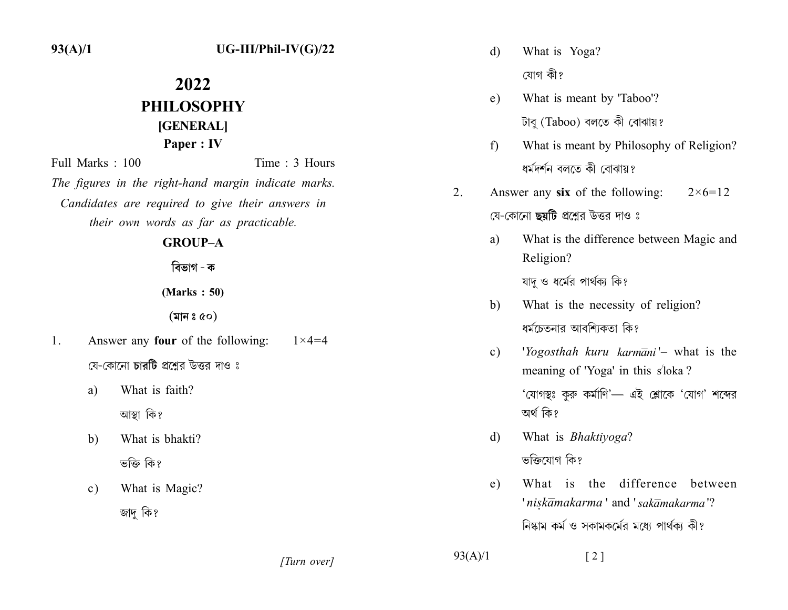$93(A)/1$ 

## 2022 PHILOSOPHY [GENERAL] Paper: IV Full Marks: 100 Time: 3 Hours The figures in the right-hand margin indicate marks. Candidates are required to give their answers in their own words as far as practicable. **GROUP-A** বিভাগ - ক  $(Marks: 50)$  $(\overline{a}|\overline{a}|$ ঃ ৫০)  $1.$ Answer any **four** of the following:  $1 \times 4 = 4$ যে-কোনো চারটি প্রশ্নের উত্তর দাও ঃ What is faith? a) আস্থা কি?  $b)$ What is bhakti?

- ভক্তি কি?
- What is Magic?  $c)$ জাদ কি?
- What is Yoga? d) যোগ কী?
- What is meant by 'Taboo'?  $e)$ টাবু (Taboo) বলতে কী বোঝায়?
- What is meant by Philosophy of Religion?  $f$ ধৰ্মদৰ্শন বলতে কী বোঝায়?
- $2.$ Answer any six of the following:  $2 \times 6 = 12$ যে-কোনো **ছয়টি** প্রশ্নের উত্তর দাও ঃ
	- a) What is the difference between Magic and Religion? যাদ ও ধর্মের পার্থক্য কি?
	- What is the necessity of religion?  $b)$ ধর্মচেতনার আবশ্যিকতা কি?
	- 'Yogosthah kuru karmāni'- what is the  $c)$ meaning of 'Yoga' in this s'loka? 'যোগস্থঃ কুরু কর্মাণি'— এই শ্লোকে 'যোগ' শব্দের অৰ্থ কি?
	- What is Bhaktiyoga? d) ভক্তিযোগ কি?
	- What is the difference between  $e)$ 'niskamakarma' and 'sakamakarma'? নিষ্কাম কর্ম ও সকামকর্মের মধ্যে পার্থকা কী?

[Turn over]

 $93(A)/1$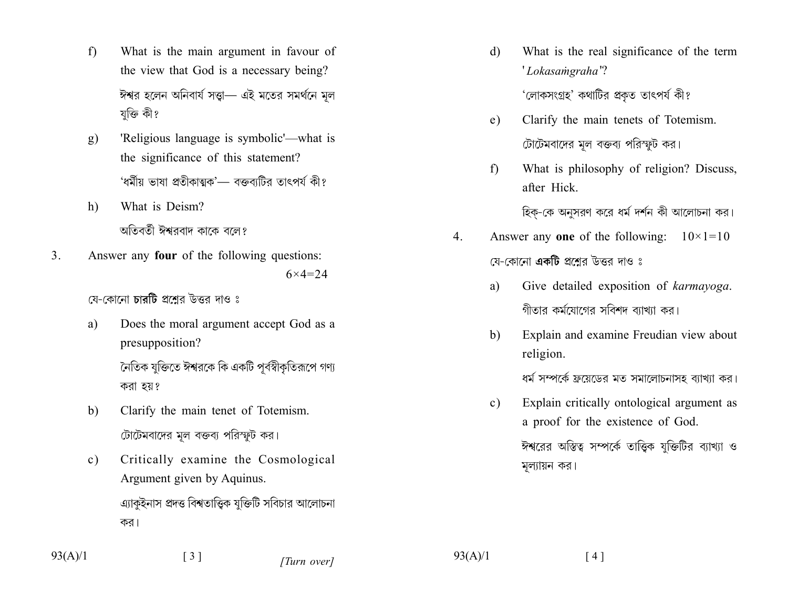- $f$ What is the main argument in favour of the view that God is a necessary being? ঈশ্বর হলেন অনিবার্য সত্তা— এই মতের সমর্থনে মূল যক্তি কী?
- $g)$ 'Religious language is symbolic'—what is the significance of this statement? 'ধৰ্মীয় ভাষা প্ৰতীকাত্মক'— বক্তব্যটির তাৎপৰ্য কী?
- $h)$ What is Deism? অতিবর্তী ঈশ্বরবাদ কাকে বলে?
- $3<sub>1</sub>$ Answer any four of the following questions:  $6 \times 4 = 24$

যে-কোনো চারটি প্রশ্নের উত্তর দাও ঃ

- Does the moral argument accept God as a a) presupposition? নৈতিক যক্তিতে ঈশ্বরকে কি একটি পর্বস্বীকতিরূপে গণ্য করা হয়?
- Clarify the main tenet of Totemism. b) টোটেমবাদের মূল বক্তব্য পরিস্ফুট কর।
- Critically examine the Cosmological  $\mathbf{c})$ Argument given by Aquinus. এ্যাকুইনাস প্রদত্ত বিশ্বতাত্ত্বিক যুক্তিটি সবিচার আলোচনা কর।

What is the real significance of the term  $\mathbf{d}$ 'Lokasamgraha'?

'লোকসংগ্ৰহ' কথাটির প্ৰকত তাৎপর্য কী?

- Clarify the main tenets of Totemism.  $e)$ টোটেমবাদের মল বক্তব্য পরিস্ফুট কর।
- $f$ What is philosophy of religion? Discuss, after Hick.

হিক-কে অনুসরণ করে ধর্ম দর্শন কী আলোচনা কর।

- $\overline{4}$ . Answer any one of the following:  $10\times1=10$ যে-কোনো **একটি** প্রশ্নের উত্তর দাও ঃ
	- Give detailed exposition of karmayoga. a) গীতার কর্মযোগের সবিশদ ব্যাখ্যা কর।
	- Explain and examine Freudian view about  $b)$ religion.

ধর্ম সম্পর্কে ফ্রয়েডের মত সমালোচনাসহ ব্যাখ্যা কর।

Explain critically ontological argument as  $c)$ a proof for the existence of God.

> ঈশ্বরের অস্তিত্ব সম্পর্কে তাত্তিক যুক্তিটির ব্যাখ্যা ও মূল্যায়ন কর।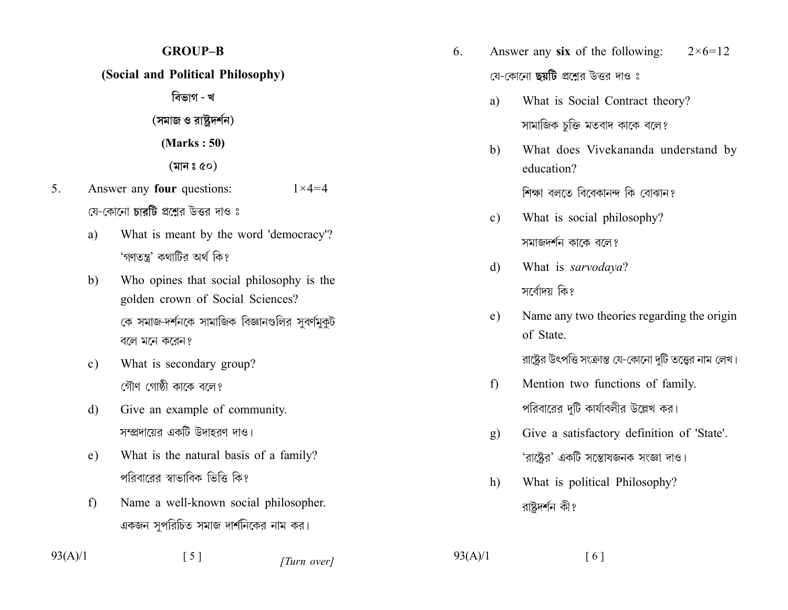## **GROUP-B** (Social and Political Philosophy) বিভাগ - খ (সমাজ ও রাষ্ট্রদর্শন)  $(Marks: 50)$  $(\overline{a}|\overline{a}| \circ \overline{a})$ Answer any **four** questions:  $1 \times 4 = 4$ যে-কোনো চারটি প্রশ্নের উত্তর দাও ঃ What is meant by the word 'democracy'? a) 'গণতন্ত্র' কথাটির অর্থ কি? Who opines that social philosophy is the  $b)$ golden crown of Social Sciences?

কে সমাজ-দর্শনকে সামাজিক বিজ্ঞানগুলির সুবর্ণমুকুট বলে মনে করেন?

- What is secondary group?  $\mathbf{c}$ ) গৌণ গোষ্ঠী কাকে বলে?
- Give an example of community.  $\mathbf{d}$ সম্প্রদায়ের একটি উদাহরণ দাও।
- What is the natural basis of a family? e) পরিবারের স্বাভাবিক ভিত্তি কি?
- $f$ Name a well-known social philosopher. একজন সুপরিচিত সমাজ দার্শনিকের নাম কর।

 $93(A)/1$ 

 $5<sub>1</sub>$ 

## $\lceil 5 \rceil$

[Turn over]

 $93(A)/1$ 

 $\lceil 6 \rceil$ 

- $6<sub>l</sub>$ Answer any six of the following:  $2 \times 6 = 12$ যে-কোনো ছয়টি প্রশ্নের উত্তর দাও ঃ
	- What is Social Contract theory? a) সামাজিক চুক্তি মতবাদ কাকে বলে?
	- $b)$ What does Vivekananda understand by education?

শিক্ষা বলতে বিবেকানন্দ কি বোঝান?

- What is social philosophy?  $c)$ সমাজদর্শন কাকে বলে?
- What is sarvodaya? d) সর্বোদয় কি?
- Name any two theories regarding the origin  $e)$ of State.

রাষ্ট্রের উৎপত্তি সংক্রান্ত যে-কোনো দুটি তত্ত্বের নাম লেখ।

- $f$ Mention two functions of family. পরিবারের দুটি কার্যাবলীর উল্লেখ কর।
- Give a satisfactory definition of 'State'.  $g)$ 'রাষ্ট্রের' একটি সম্ভোষজনক সংজ্ঞা দাও।
- What is political Philosophy?  $h)$ রাষ্টদর্শন কী?